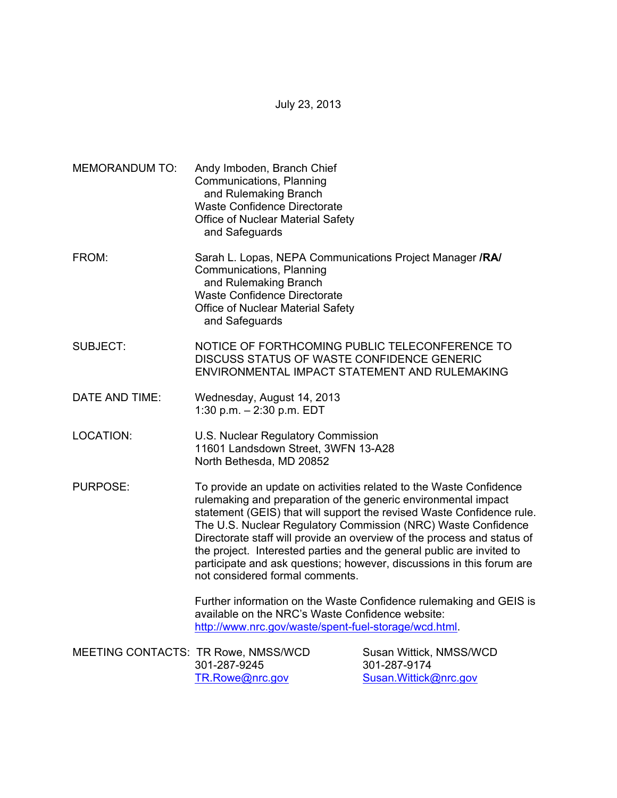July 23, 2013

MEMORANDUM TO: Andy Imboden, Branch Chief Communications, Planning and Rulemaking Branch Waste Confidence Directorate Office of Nuclear Material Safety and Safeguards FROM: Sarah L. Lopas, NEPA Communications Project Manager **/RA/** Communications, Planning and Rulemaking Branch Waste Confidence Directorate Office of Nuclear Material Safety and Safeguards SUBJECT: NOTICE OF FORTHCOMING PUBLIC TELECONFERENCE TO DISCUSS STATUS OF WASTE CONFIDENCE GENERIC ENVIRONMENTAL IMPACT STATEMENT AND RULEMAKING DATE AND TIME: Wednesday, August 14, 2013 1:30 p.m. – 2:30 p.m. EDT LOCATION: U.S. Nuclear Regulatory Commission 11601 Landsdown Street, 3WFN 13-A28 North Bethesda, MD 20852 PURPOSE: To provide an update on activities related to the Waste Confidence rulemaking and preparation of the generic environmental impact statement (GEIS) that will support the revised Waste Confidence rule. The U.S. Nuclear Regulatory Commission (NRC) Waste Confidence Directorate staff will provide an overview of the process and status of the project. Interested parties and the general public are invited to participate and ask questions; however, discussions in this forum are not considered formal comments. Further information on the Waste Confidence rulemaking and GEIS is available on the NRC's Waste Confidence website: http://www.nrc.gov/waste/spent-fuel-storage/wcd.html. MEETING CONTACTS: TR Rowe, NMSS/WCD Susan Wittick, NMSS/WCD 301-287-9245 301-287-9174 TR.Rowe@nrc.gov Susan.Wittick@nrc.gov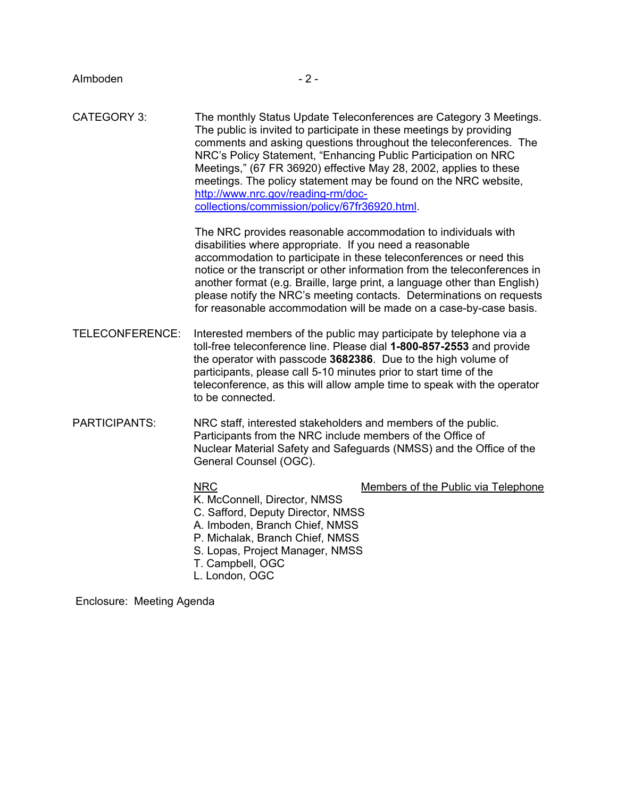CATEGORY 3: The monthly Status Update Teleconferences are Category 3 Meetings. The public is invited to participate in these meetings by providing comments and asking questions throughout the teleconferences. The NRC's Policy Statement, "Enhancing Public Participation on NRC Meetings," (67 FR 36920) effective May 28, 2002, applies to these meetings. The policy statement may be found on the NRC website, http://www.nrc.gov/reading-rm/doc collections/commission/policy/67fr36920.html.

> The NRC provides reasonable accommodation to individuals with disabilities where appropriate. If you need a reasonable accommodation to participate in these teleconferences or need this notice or the transcript or other information from the teleconferences in another format (e.g. Braille, large print, a language other than English) please notify the NRC's meeting contacts. Determinations on requests for reasonable accommodation will be made on a case-by-case basis.

- TELECONFERENCE: Interested members of the public may participate by telephone via a toll-free teleconference line. Please dial **1-800-857-2553** and provide the operator with passcode **3682386**. Due to the high volume of participants, please call 5-10 minutes prior to start time of the teleconference, as this will allow ample time to speak with the operator to be connected.
- PARTICIPANTS: NRC staff, interested stakeholders and members of the public. Participants from the NRC include members of the Office of Nuclear Material Safety and Safeguards (NMSS) and the Office of the General Counsel (OGC).

NRC Members of the Public via Telephone

- K. McConnell, Director, NMSS C. Safford, Deputy Director, NMSS A. Imboden, Branch Chief, NMSS P. Michalak, Branch Chief, NMSS
- S. Lopas, Project Manager, NMSS
- T. Campbell, OGC
- L. London, OGC

Enclosure: Meeting Agenda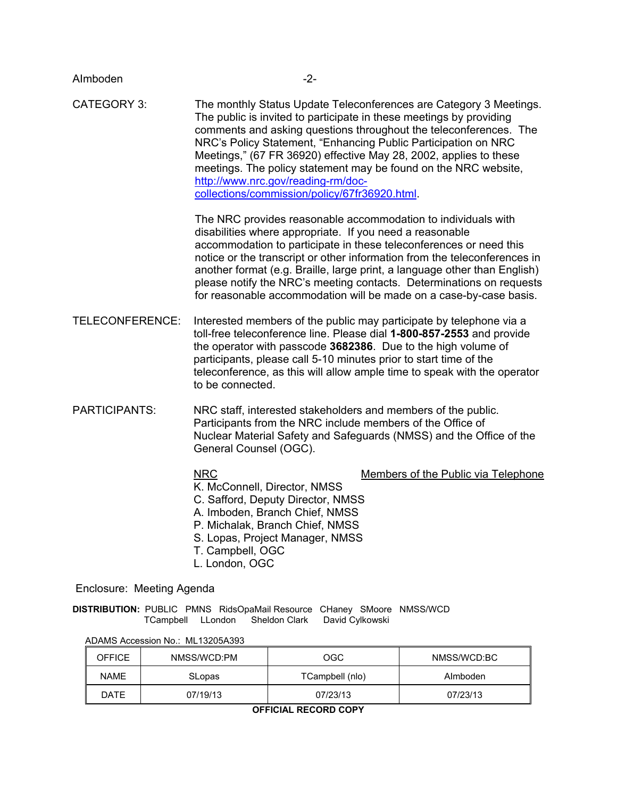| Almboden                                                                                                                                 | $-2-$                                                                                                                                                                                                                                                                                                                                                                                                                                                                                                           |  |     |              |  |
|------------------------------------------------------------------------------------------------------------------------------------------|-----------------------------------------------------------------------------------------------------------------------------------------------------------------------------------------------------------------------------------------------------------------------------------------------------------------------------------------------------------------------------------------------------------------------------------------------------------------------------------------------------------------|--|-----|--------------|--|
| <b>CATEGORY 3:</b>                                                                                                                       | The monthly Status Update Teleconferences are Category 3 Meetings.<br>The public is invited to participate in these meetings by providing<br>comments and asking questions throughout the teleconferences. The<br>NRC's Policy Statement, "Enhancing Public Participation on NRC<br>Meetings," (67 FR 36920) effective May 28, 2002, applies to these<br>meetings. The policy statement may be found on the NRC website,<br>http://www.nrc.gov/reading-rm/doc-<br>collections/commission/policy/67fr36920.html. |  |     |              |  |
|                                                                                                                                          | The NRC provides reasonable accommodation to individuals with<br>disabilities where appropriate. If you need a reasonable<br>accommodation to participate in these teleconferences or need this<br>notice or the transcript or other information from the teleconferences in<br>another format (e.g. Braille, large print, a language other than English)<br>please notify the NRC's meeting contacts. Determinations on requests<br>for reasonable accommodation will be made on a case-by-case basis.         |  |     |              |  |
| TELECONFERENCE:                                                                                                                          | Interested members of the public may participate by telephone via a<br>toll-free teleconference line. Please dial 1-800-857-2553 and provide<br>the operator with passcode 3682386. Due to the high volume of<br>participants, please call 5-10 minutes prior to start time of the<br>teleconference, as this will allow ample time to speak with the operator<br>to be connected.                                                                                                                              |  |     |              |  |
| <b>PARTICIPANTS:</b>                                                                                                                     | NRC staff, interested stakeholders and members of the public.<br>Participants from the NRC include members of the Office of<br>Nuclear Material Safety and Safeguards (NMSS) and the Office of the<br>General Counsel (OGC).                                                                                                                                                                                                                                                                                    |  |     |              |  |
|                                                                                                                                          | <b>NRC</b><br>Members of the Public via Telephone<br>K. McConnell, Director, NMSS<br>C. Safford, Deputy Director, NMSS<br>A. Imboden, Branch Chief, NMSS<br>P. Michalak, Branch Chief, NMSS<br>S. Lopas, Project Manager, NMSS<br>T. Campbell, OGC<br>L. London, OGC                                                                                                                                                                                                                                            |  |     |              |  |
| Enclosure: Meeting Agenda                                                                                                                |                                                                                                                                                                                                                                                                                                                                                                                                                                                                                                                 |  |     |              |  |
| DISTRIBUTION: PUBLIC PMNS RidsOpaMail Resource CHaney SMoore NMSS/WCD<br><b>Sheldon Clark</b><br>David Cylkowski<br>TCampbell<br>LLondon |                                                                                                                                                                                                                                                                                                                                                                                                                                                                                                                 |  |     |              |  |
| ADAMS Accession No.: ML13205A393                                                                                                         |                                                                                                                                                                                                                                                                                                                                                                                                                                                                                                                 |  |     |              |  |
| <b>OEEICE</b>                                                                                                                            | NIMECAMOD.DM                                                                                                                                                                                                                                                                                                                                                                                                                                                                                                    |  | ∩∩∩ | NIMOCAMOD.DO |  |

| <b>OFFICE</b> | NMSS/WCD:PM | OGC             | NMSS/WCD:BC |
|---------------|-------------|-----------------|-------------|
| <b>NAME</b>   | SLopas      | TCampbell (nlo) | Almboden    |
| DATE          | 07/19/13    | 07/23/13        | 07/23/13    |

**OFFICIAL RECORD COPY**